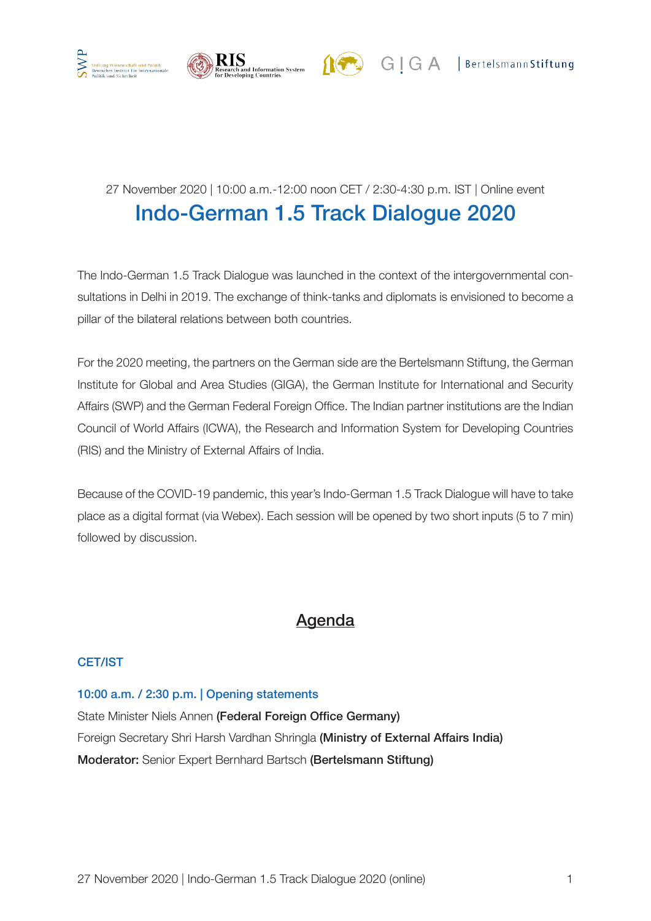



# 27 November 2020 | 10:00 a.m.-12:00 noon CET / 2:30-4:30 p.m. IST | Online event Indo-German 1.5 Track Dialogue 2020

The Indo-German 1.5 Track Dialogue was launched in the context of the intergovernmental consultations in Delhi in 2019. The exchange of think-tanks and diplomats is envisioned to become a pillar of the bilateral relations between both countries.

For the 2020 meeting, the partners on the German side are the Bertelsmann Stiftung, the German Institute for Global and Area Studies (GIGA), the German Institute for International and Security Affairs (SWP) and the German Federal Foreign Office. The Indian partner institutions are the Indian Council of World Affairs (ICWA), the Research and Information System for Developing Countries (RIS) and the Ministry of External Affairs of India.

Because of the COVID-19 pandemic, this year's Indo-German 1.5 Track Dialogue will have to take place as a digital format (via Webex). Each session will be opened by two short inputs (5 to 7 min) followed by discussion.

## Agenda

### CET/IST

### 10:00 a.m. / 2:30 p.m. | Opening statements

State Minister Niels Annen (Federal Foreign Office Germany) Foreign Secretary Shri Harsh Vardhan Shringla (Ministry of External Affairs India) Moderator: Senior Expert Bernhard Bartsch (Bertelsmann Stiftung)